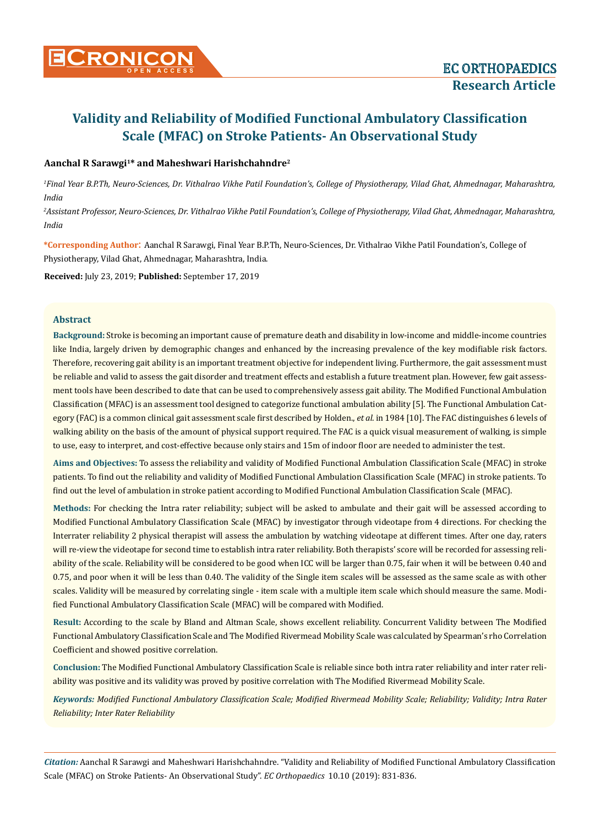# **Validity and Reliability of Modified Functional Ambulatory Classification Scale (MFAC) on Stroke Patients- An Observational Study**

## **Aanchal R Sarawgi1\* and Maheshwari Harishchahndre2**

*1 Final Year B.P.Th, Neuro-Sciences, Dr. Vithalrao Vikhe Patil Foundation's, College of Physiotherapy, Vilad Ghat, Ahmednagar, Maharashtra, India* 

*2 Assistant Professor, Neuro-Sciences, Dr. Vithalrao Vikhe Patil Foundation's, College of Physiotherapy, Vilad Ghat, Ahmednagar, Maharashtra, India*

**\*Corresponding Author**: Aanchal R Sarawgi, Final Year B.P.Th, Neuro-Sciences, Dr. Vithalrao Vikhe Patil Foundation's, College of Physiotherapy, Vilad Ghat, Ahmednagar, Maharashtra, India.

**Received:** July 23, 2019; **Published:** September 17, 2019

## **Abstract**

**Background:** Stroke is becoming an important cause of premature death and disability in low-income and middle-income countries like India, largely driven by demographic changes and enhanced by the increasing prevalence of the key modifiable risk factors. Therefore, recovering gait ability is an important treatment objective for independent living. Furthermore, the gait assessment must be reliable and valid to assess the gait disorder and treatment effects and establish a future treatment plan. However, few gait assessment tools have been described to date that can be used to comprehensively assess gait ability. The Modified Functional Ambulation Classification (MFAC) is an assessment tool designed to categorize functional ambulation ability [5]. The Functional Ambulation Category (FAC) is a common clinical gait assessment scale first described by Holden., *et al*. in 1984 [10]. The FAC distinguishes 6 levels of walking ability on the basis of the amount of physical support required. The FAC is a quick visual measurement of walking, is simple to use, easy to interpret, and cost-effective because only stairs and 15m of indoor floor are needed to administer the test.

**Aims and Objectives:** To assess the reliability and validity of Modified Functional Ambulation Classification Scale (MFAC) in stroke patients. To find out the reliability and validity of Modified Functional Ambulation Classification Scale (MFAC) in stroke patients. To find out the level of ambulation in stroke patient according to Modified Functional Ambulation Classification Scale (MFAC).

**Methods:** For checking the Intra rater reliability; subject will be asked to ambulate and their gait will be assessed according to Modified Functional Ambulatory Classification Scale (MFAC) by investigator through videotape from 4 directions. For checking the Interrater reliability 2 physical therapist will assess the ambulation by watching videotape at different times. After one day, raters will re-view the videotape for second time to establish intra rater reliability. Both therapists' score will be recorded for assessing reliability of the scale. Reliability will be considered to be good when ICC will be larger than 0.75, fair when it will be between 0.40 and 0.75, and poor when it will be less than 0.40. The validity of the Single item scales will be assessed as the same scale as with other scales. Validity will be measured by correlating single - item scale with a multiple item scale which should measure the same. Modified Functional Ambulatory Classification Scale (MFAC) will be compared with Modified.

**Result:** According to the scale by Bland and Altman Scale, shows excellent reliability. Concurrent Validity between The Modified Functional Ambulatory Classification Scale and The Modified Rivermead Mobility Scale was calculated by Spearman's rho Correlation Coefficient and showed positive correlation.

**Conclusion:** The Modified Functional Ambulatory Classification Scale is reliable since both intra rater reliability and inter rater reliability was positive and its validity was proved by positive correlation with The Modified Rivermead Mobility Scale.

*Keywords: Modified Functional Ambulatory Classification Scale; Modified Rivermead Mobility Scale; Reliability; Validity; Intra Rater Reliability; Inter Rater Reliability*

*Citation:* Aanchal R Sarawgi and Maheshwari Harishchahndre. "Validity and Reliability of Modified Functional Ambulatory Classification Scale (MFAC) on Stroke Patients- An Observational Study". *EC Orthopaedics* 10.10 (2019): 831-836.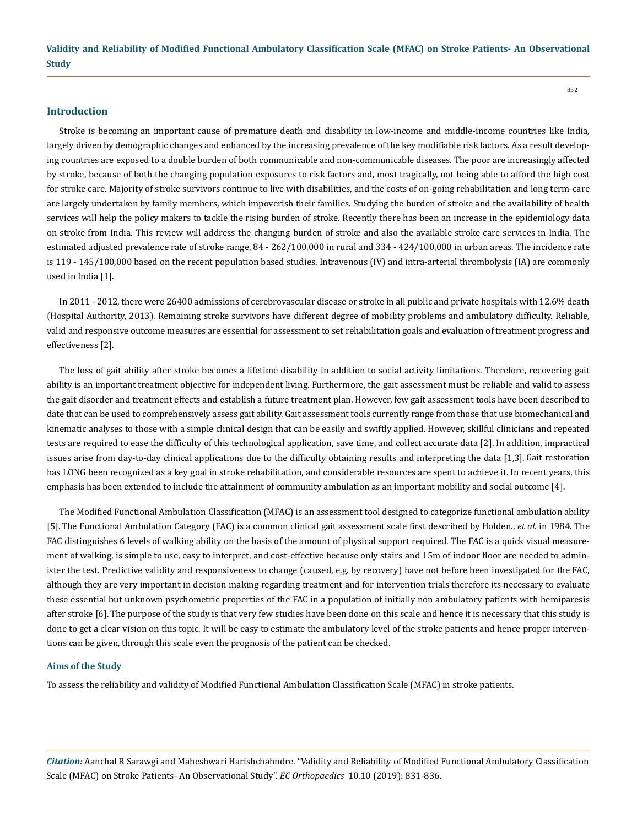## **Introduction**

Stroke is becoming an important cause of premature death and disability in low-income and middle-income countries like India, largely driven by demographic changes and enhanced by the increasing prevalence of the key modifiable risk factors. As a result developing countries are exposed to a double burden of both communicable and non-communicable diseases. The poor are increasingly affected by stroke, because of both the changing population exposures to risk factors and, most tragically, not being able to afford the high cost for stroke care. Majority of stroke survivors continue to live with disabilities, and the costs of on-going rehabilitation and long term-care are largely undertaken by family members, which impoverish their families. Studying the burden of stroke and the availability of health services will help the policy makers to tackle the rising burden of stroke. Recently there has been an increase in the epidemiology data on stroke from India. This review will address the changing burden of stroke and also the available stroke care services in India. The estimated adjusted prevalence rate of stroke range, 84 - 262/100,000 in rural and 334 - 424/100,000 in urban areas. The incidence rate is 119 - 145/100,000 based on the recent population based studies. Intravenous (IV) and intra-arterial thrombolysis (IA) are commonly used in India [1].

In 2011 ‐ 2012, there were 26400 admissions of cerebrovascular disease or stroke in all public and private hospitals with 12.6% death (Hospital Authority, 2013). Remaining stroke survivors have different degree of mobility problems and ambulatory difficulty. Reliable, valid and responsive outcome measures are essential for assessment to set rehabilitation goals and evaluation of treatment progress and effectiveness [2].

The loss of gait ability after stroke becomes a lifetime disability in addition to social activity limitations. Therefore, recovering gait ability is an important treatment objective for independent living. Furthermore, the gait assessment must be reliable and valid to assess the gait disorder and treatment effects and establish a future treatment plan. However, few gait assessment tools have been described to date that can be used to comprehensively assess gait ability. Gait assessment tools currently range from those that use biomechanical and kinematic analyses to those with a simple clinical design that can be easily and swiftly applied. However, skillful clinicians and repeated tests are required to ease the difficulty of this technological application, save time, and collect accurate data [2]. In addition, impractical issues arise from day-to-day clinical applications due to the difficulty obtaining results and interpreting the data [1,3]. Gait restoration has LONG been recognized as a key goal in stroke rehabilitation, and considerable resources are spent to achieve it. In recent years, this emphasis has been extended to include the attainment of community ambulation as an important mobility and social outcome [4].

The Modified Functional Ambulation Classification (MFAC) is an assessment tool designed to categorize functional ambulation ability [5]. The Functional Ambulation Category (FAC) is a common clinical gait assessment scale first described by Holden., *et al*. in 1984. The FAC distinguishes 6 levels of walking ability on the basis of the amount of physical support required. The FAC is a quick visual measurement of walking, is simple to use, easy to interpret, and cost-effective because only stairs and 15m of indoor floor are needed to administer the test. Predictive validity and responsiveness to change (caused, e.g. by recovery) have not before been investigated for the FAC, although they are very important in decision making regarding treatment and for intervention trials therefore its necessary to evaluate these essential but unknown psychometric properties of the FAC in a population of initially non ambulatory patients with hemiparesis after stroke [6].The purpose of the study is that very few studies have been done on this scale and hence it is necessary that this study is done to get a clear vision on this topic. It will be easy to estimate the ambulatory level of the stroke patients and hence proper interventions can be given, through this scale even the prognosis of the patient can be checked.

#### **Aims of the Study**

To assess the reliability and validity of Modified Functional Ambulation Classification Scale (MFAC) in stroke patients.

*Citation:* Aanchal R Sarawgi and Maheshwari Harishchahndre. "Validity and Reliability of Modified Functional Ambulatory Classification Scale (MFAC) on Stroke Patients- An Observational Study". *EC Orthopaedics* 10.10 (2019): 831-836.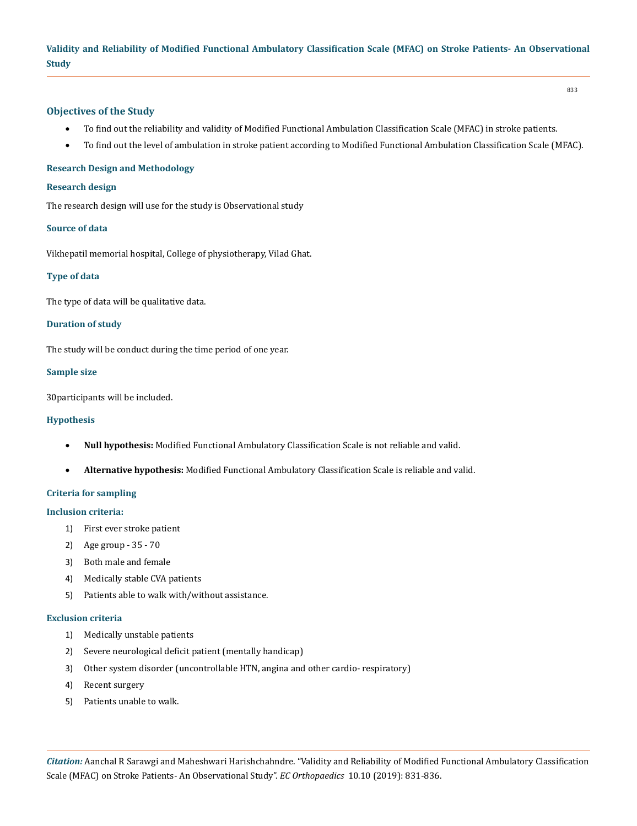# **Validity and Reliability of Modified Functional Ambulatory Classification Scale (MFAC) on Stroke Patients- An Observational Study**

#### **Objectives of the Study**

- • To find out the reliability and validity of Modified Functional Ambulation Classification Scale (MFAC) in stroke patients.
- • To find out the level of ambulation in stroke patient according to Modified Functional Ambulation Classification Scale (MFAC).

#### **Research Design and Methodology**

#### **Research design**

The research design will use for the study is Observational study

#### **Source of data**

Vikhepatil memorial hospital, College of physiotherapy, Vilad Ghat.

## **Type of data**

The type of data will be qualitative data.

#### **Duration of study**

The study will be conduct during the time period of one year.

#### **Sample size**

30participants will be included.

#### **Hypothesis**

- • **Null hypothesis:** Modified Functional Ambulatory Classification Scale is not reliable and valid.
- • **Alternative hypothesis:** Modified Functional Ambulatory Classification Scale is reliable and valid.

## **Criteria for sampling**

#### **Inclusion criteria:**

- 1) First ever stroke patient
- 2) Age group 35 70
- 3) Both male and female
- 4) Medically stable CVA patients
- 5) Patients able to walk with/without assistance.

#### **Exclusion criteria**

- 1) Medically unstable patients
- 2) Severe neurological deficit patient (mentally handicap)
- 3) Other system disorder (uncontrollable HTN, angina and other cardio- respiratory)
- 4) Recent surgery
- 5) Patients unable to walk.

*Citation:* Aanchal R Sarawgi and Maheshwari Harishchahndre. "Validity and Reliability of Modified Functional Ambulatory Classification Scale (MFAC) on Stroke Patients- An Observational Study". *EC Orthopaedics* 10.10 (2019): 831-836.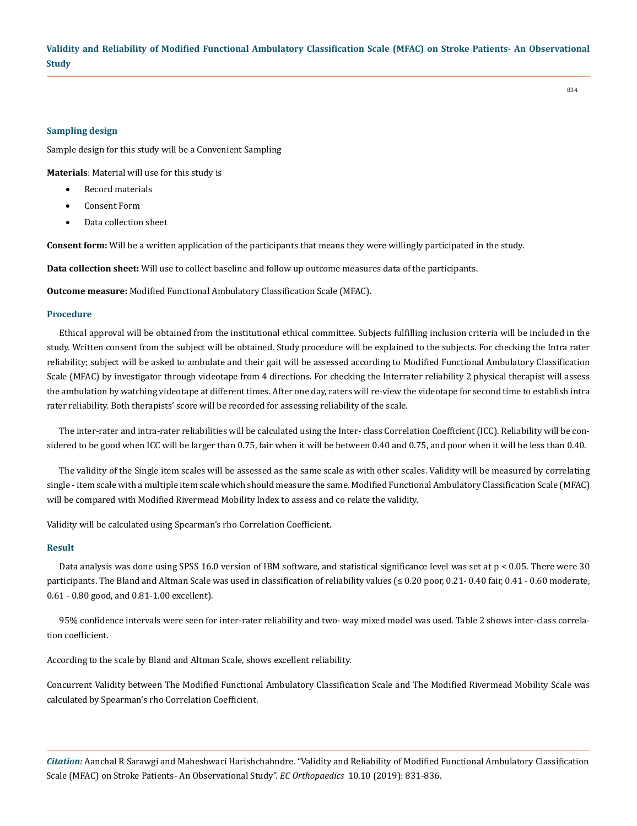# **Validity and Reliability of Modified Functional Ambulatory Classification Scale (MFAC) on Stroke Patients- An Observational Study**

#### **Sampling design**

Sample design for this study will be a Convenient Sampling

**Materials**: Material will use for this study is

- **Record materials**
- Consent Form
- Data collection sheet

**Consent form:** Will be a written application of the participants that means they were willingly participated in the study.

**Data collection sheet:** Will use to collect baseline and follow up outcome measures data of the participants.

**Outcome measure:** Modified Functional Ambulatory Classification Scale (MFAC).

#### **Procedure**

Ethical approval will be obtained from the institutional ethical committee. Subjects fulfilling inclusion criteria will be included in the study. Written consent from the subject will be obtained. Study procedure will be explained to the subjects. For checking the Intra rater reliability; subject will be asked to ambulate and their gait will be assessed according to Modified Functional Ambulatory Classification Scale (MFAC) by investigator through videotape from 4 directions. For checking the Interrater reliability 2 physical therapist will assess the ambulation by watching videotape at different times. After one day, raters will re-view the videotape for second time to establish intra rater reliability. Both therapists' score will be recorded for assessing reliability of the scale.

The inter-rater and intra-rater reliabilities will be calculated using the Inter- class Correlation Coefficient (ICC). Reliability will be considered to be good when ICC will be larger than 0.75, fair when it will be between 0.40 and 0.75, and poor when it will be less than 0.40.

The validity of the Single item scales will be assessed as the same scale as with other scales. Validity will be measured by correlating single - item scale with a multiple item scale which should measure the same. Modified Functional Ambulatory Classification Scale (MFAC) will be compared with Modified Rivermead Mobility Index to assess and co relate the validity.

Validity will be calculated using Spearman's rho Correlation Coefficient.

#### **Result**

Data analysis was done using SPSS 16.0 version of IBM software, and statistical significance level was set at p < 0.05. There were 30 participants. The Bland and Altman Scale was used in classification of reliability values (≤ 0.20 poor, 0.21- 0.40 fair, 0.41 - 0.60 moderate, 0.61 - 0.80 good, and 0.81-1.00 excellent).

95% confidence intervals were seen for inter-rater reliability and two- way mixed model was used. Table 2 shows inter-class correlation coefficient.

According to the scale by Bland and Altman Scale, shows excellent reliability.

Concurrent Validity between The Modified Functional Ambulatory Classification Scale and The Modified Rivermead Mobility Scale was calculated by Spearman's rho Correlation Coefficient.

*Citation:* Aanchal R Sarawgi and Maheshwari Harishchahndre. "Validity and Reliability of Modified Functional Ambulatory Classification Scale (MFAC) on Stroke Patients- An Observational Study". *EC Orthopaedics* 10.10 (2019): 831-836.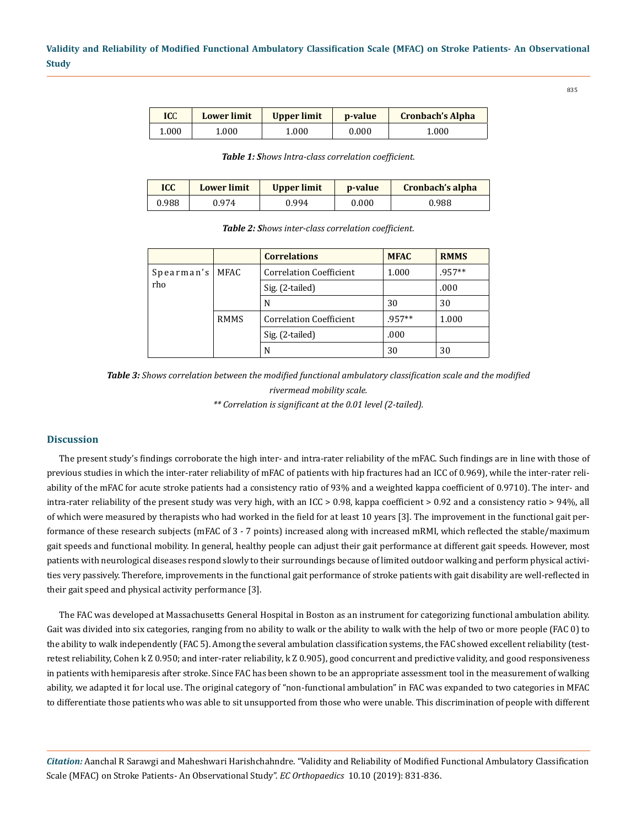| ICC   | <b>Lower limit</b> | Upper limit | <b>p</b> -value | <b>Cronbach's Alpha</b> |
|-------|--------------------|-------------|-----------------|-------------------------|
| 1.000 | 1.000              | 1.000       | 0.000           | 1.000                   |

*Table 1: Shows Intra-class correlation coefficient.*

| <b>ICC</b> | <b>Lower limit</b> | Upper limit | p-value | Cronbach's alpha |  |
|------------|--------------------|-------------|---------|------------------|--|
| 0.988      | 0.974              | 0.994       | 0.000   | 0.988            |  |

*Table 2: Shows inter-class correlation coefficient.*

|            |             | <b>Correlations</b>            | <b>MFAC</b> | <b>RMMS</b> |
|------------|-------------|--------------------------------|-------------|-------------|
| Spearman's | MFAC        | <b>Correlation Coefficient</b> | 1.000       | $.957**$    |
| rho        |             | Sig. (2-tailed)                |             | .000        |
|            |             | N                              | 30          | 30          |
|            | <b>RMMS</b> | <b>Correlation Coefficient</b> | $.957**$    | 1.000       |
|            |             | Sig. (2-tailed)                | .000        |             |
|            |             | N                              | 30          | 30          |

*Table 3: Shows correlation between the modified functional ambulatory classification scale and the modified rivermead mobility scale.*

*\*\* Correlation is significant at the 0.01 level (2-tailed).*

#### **Discussion**

The present study's findings corroborate the high inter- and intra-rater reliability of the mFAC. Such findings are in line with those of previous studies in which the inter-rater reliability of mFAC of patients with hip fractures had an ICC of 0.969), while the inter-rater reliability of the mFAC for acute stroke patients had a consistency ratio of 93% and a weighted kappa coefficient of 0.9710). The inter- and intra-rater reliability of the present study was very high, with an ICC > 0.98, kappa coefficient > 0.92 and a consistency ratio > 94%, all of which were measured by therapists who had worked in the field for at least 10 years [3]. The improvement in the functional gait performance of these research subjects (mFAC of 3 - 7 points) increased along with increased mRMI, which reflected the stable/maximum gait speeds and functional mobility. In general, healthy people can adjust their gait performance at different gait speeds. However, most patients with neurological diseases respond slowly to their surroundings because of limited outdoor walking and perform physical activities very passively. Therefore, improvements in the functional gait performance of stroke patients with gait disability are well-reflected in their gait speed and physical activity performance [3].

The FAC was developed at Massachusetts General Hospital in Boston as an instrument for categorizing functional ambulation ability. Gait was divided into six categories, ranging from no ability to walk or the ability to walk with the help of two or more people (FAC 0) to the ability to walk independently (FAC 5). Among the several ambulation classification systems, the FAC showed excellent reliability (testretest reliability, Cohen k Z 0.950; and inter-rater reliability, k Z 0.905), good concurrent and predictive validity, and good responsiveness in patients with hemiparesis after stroke. Since FAC has been shown to be an appropriate assessment tool in the measurement of walking ability, we adapted it for local use. The original category of "non-functional ambulation" in FAC was expanded to two categories in MFAC to differentiate those patients who was able to sit unsupported from those who were unable. This discrimination of people with different

*Citation:* Aanchal R Sarawgi and Maheshwari Harishchahndre. "Validity and Reliability of Modified Functional Ambulatory Classification Scale (MFAC) on Stroke Patients- An Observational Study". *EC Orthopaedics* 10.10 (2019): 831-836.